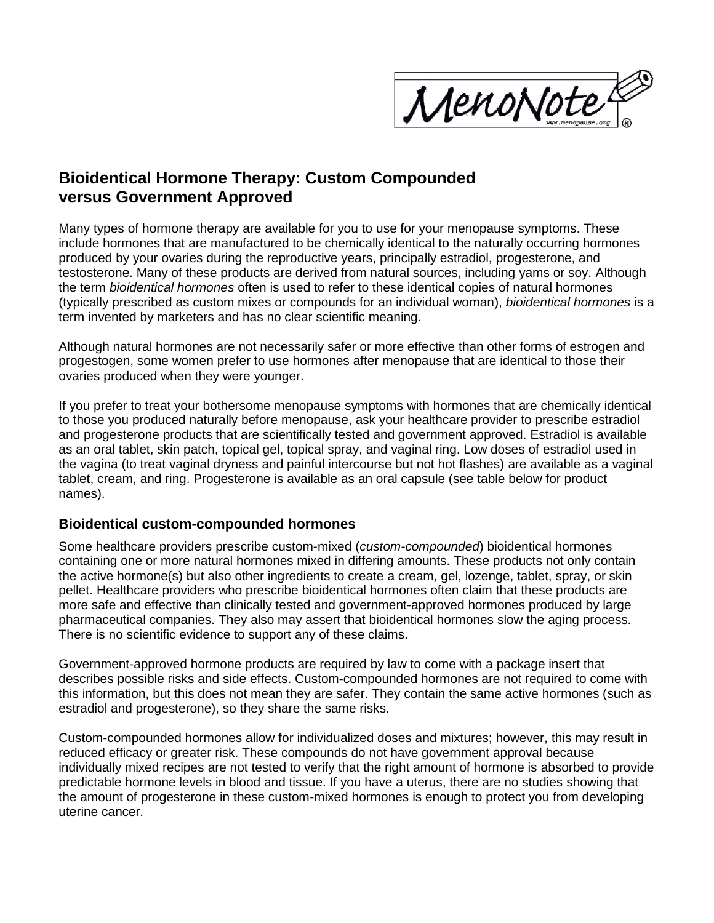

# **Bioidentical Hormone Therapy: Custom Compounded versus Government Approved**

Many types of hormone therapy are available for you to use for your menopause symptoms. These include hormones that are manufactured to be chemically identical to the naturally occurring hormones produced by your ovaries during the reproductive years, principally estradiol, progesterone, and testosterone. Many of these products are derived from natural sources, including yams or soy. Although the term *bioidentical hormones* often is used to refer to these identical copies of natural hormones (typically prescribed as custom mixes or compounds for an individual woman), *bioidentical hormones* is a term invented by marketers and has no clear scientific meaning.

Although natural hormones are not necessarily safer or more effective than other forms of estrogen and progestogen, some women prefer to use hormones after menopause that are identical to those their ovaries produced when they were younger.

If you prefer to treat your bothersome menopause symptoms with hormones that are chemically identical to those you produced naturally before menopause, ask your healthcare provider to prescribe estradiol and progesterone products that are scientifically tested and government approved. Estradiol is available as an oral tablet, skin patch, topical gel, topical spray, and vaginal ring. Low doses of estradiol used in the vagina (to treat vaginal dryness and painful intercourse but not hot flashes) are available as a vaginal tablet, cream, and ring. Progesterone is available as an oral capsule (see table below for product names).

### **Bioidentical custom-compounded hormones**

Some healthcare providers prescribe custom-mixed (*custom-compounded*) bioidentical hormones containing one or more natural hormones mixed in differing amounts. These products not only contain the active hormone(s) but also other ingredients to create a cream, gel, lozenge, tablet, spray, or skin pellet. Healthcare providers who prescribe bioidentical hormones often claim that these products are more safe and effective than clinically tested and government-approved hormones produced by large pharmaceutical companies. They also may assert that bioidentical hormones slow the aging process. There is no scientific evidence to support any of these claims.

Government-approved hormone products are required by law to come with a package insert that describes possible risks and side effects. Custom-compounded hormones are not required to come with this information, but this does not mean they are safer. They contain the same active hormones (such as estradiol and progesterone), so they share the same risks.

Custom-compounded hormones allow for individualized doses and mixtures; however, this may result in reduced efficacy or greater risk. These compounds do not have government approval because individually mixed recipes are not tested to verify that the right amount of hormone is absorbed to provide predictable hormone levels in blood and tissue. If you have a uterus, there are no studies showing that the amount of progesterone in these custom-mixed hormones is enough to protect you from developing uterine cancer.